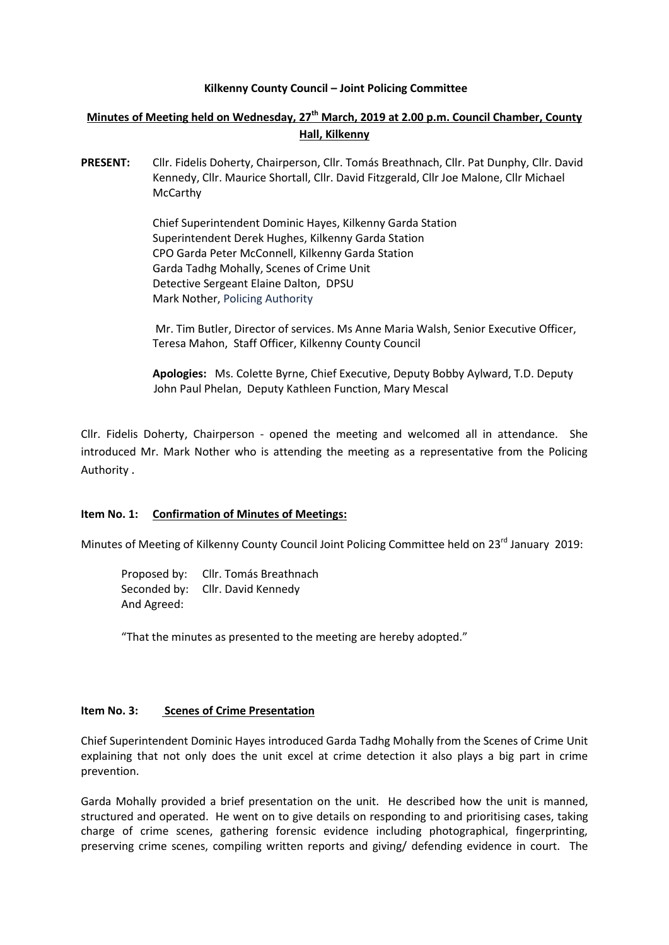#### **Kilkenny County Council – Joint Policing Committee**

# **Minutes of Meeting held on Wednesday, 27th March, 2019 at 2.00 p.m. Council Chamber, County Hall, Kilkenny**

**PRESENT:** Cllr. Fidelis Doherty, Chairperson, Cllr. Tomás Breathnach, Cllr. Pat Dunphy, Cllr. David Kennedy, Cllr. Maurice Shortall, Cllr. David Fitzgerald, Cllr Joe Malone, Cllr Michael McCarthy

> Chief Superintendent Dominic Hayes, Kilkenny Garda Station Superintendent Derek Hughes, Kilkenny Garda Station CPO Garda Peter McConnell, Kilkenny Garda Station Garda Tadhg Mohally, Scenes of Crime Unit Detective Sergeant Elaine Dalton, DPSU Mark Nother, Policing Authority

Mr. Tim Butler, Director of services. Ms Anne Maria Walsh, Senior Executive Officer, Teresa Mahon, Staff Officer, Kilkenny County Council

**Apologies:** Ms. Colette Byrne, Chief Executive, Deputy Bobby Aylward, T.D. Deputy John Paul Phelan, Deputy Kathleen Function, Mary Mescal

Cllr. Fidelis Doherty, Chairperson - opened the meeting and welcomed all in attendance. She introduced Mr. Mark Nother who is attending the meeting as a representative from the Policing Authority .

#### **Item No. 1: Confirmation of Minutes of Meetings:**

Minutes of Meeting of Kilkenny County Council Joint Policing Committee held on 23<sup>rd</sup> January 2019:

Proposed by: Cllr. Tomás Breathnach Seconded by: Cllr. David Kennedy And Agreed:

"That the minutes as presented to the meeting are hereby adopted."

#### **Item No. 3: Scenes of Crime Presentation**

Chief Superintendent Dominic Hayes introduced Garda Tadhg Mohally from the Scenes of Crime Unit explaining that not only does the unit excel at crime detection it also plays a big part in crime prevention.

Garda Mohally provided a brief presentation on the unit. He described how the unit is manned, structured and operated. He went on to give details on responding to and prioritising cases, taking charge of crime scenes, gathering forensic evidence including photographical, fingerprinting, preserving crime scenes, compiling written reports and giving/ defending evidence in court. The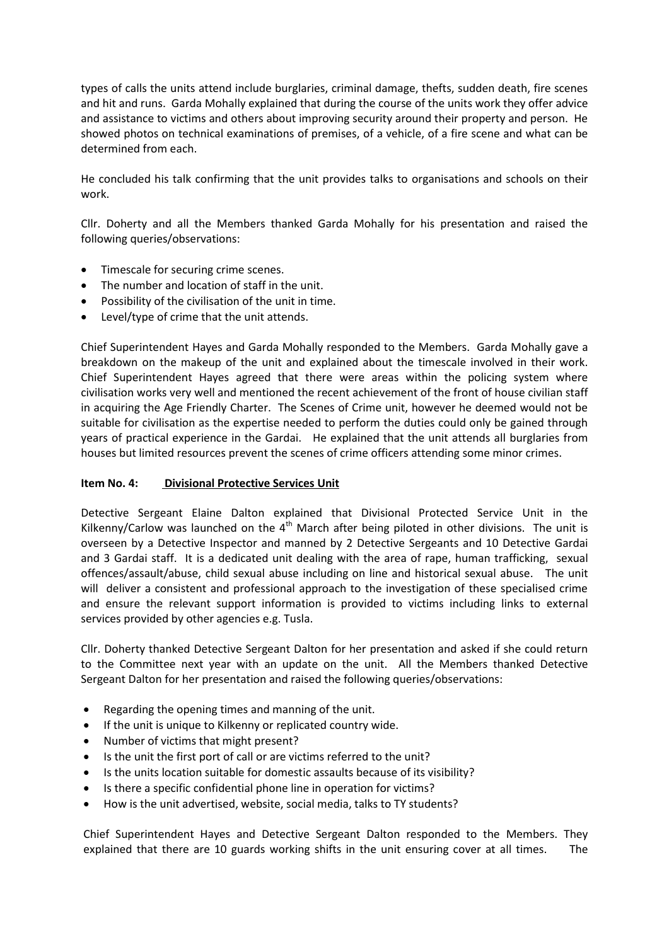types of calls the units attend include burglaries, criminal damage, thefts, sudden death, fire scenes and hit and runs. Garda Mohally explained that during the course of the units work they offer advice and assistance to victims and others about improving security around their property and person. He showed photos on technical examinations of premises, of a vehicle, of a fire scene and what can be determined from each.

He concluded his talk confirming that the unit provides talks to organisations and schools on their work.

Cllr. Doherty and all the Members thanked Garda Mohally for his presentation and raised the following queries/observations:

- Timescale for securing crime scenes.
- The number and location of staff in the unit.
- Possibility of the civilisation of the unit in time.
- Level/type of crime that the unit attends.

Chief Superintendent Hayes and Garda Mohally responded to the Members. Garda Mohally gave a breakdown on the makeup of the unit and explained about the timescale involved in their work. Chief Superintendent Hayes agreed that there were areas within the policing system where civilisation works very well and mentioned the recent achievement of the front of house civilian staff in acquiring the Age Friendly Charter. The Scenes of Crime unit, however he deemed would not be suitable for civilisation as the expertise needed to perform the duties could only be gained through years of practical experience in the Gardai. He explained that the unit attends all burglaries from houses but limited resources prevent the scenes of crime officers attending some minor crimes.

## **Item No. 4: Divisional Protective Services Unit**

Detective Sergeant Elaine Dalton explained that Divisional Protected Service Unit in the Kilkenny/Carlow was launched on the  $4<sup>th</sup>$  March after being piloted in other divisions. The unit is overseen by a Detective Inspector and manned by 2 Detective Sergeants and 10 Detective Gardai and 3 Gardai staff. It is a dedicated unit dealing with the area of rape, human trafficking, sexual offences/assault/abuse, child sexual abuse including on line and historical sexual abuse. The unit will deliver a consistent and professional approach to the investigation of these specialised crime and ensure the relevant support information is provided to victims including links to external services provided by other agencies e.g. Tusla.

Cllr. Doherty thanked Detective Sergeant Dalton for her presentation and asked if she could return to the Committee next year with an update on the unit. All the Members thanked Detective Sergeant Dalton for her presentation and raised the following queries/observations:

- Regarding the opening times and manning of the unit.
- If the unit is unique to Kilkenny or replicated country wide.
- Number of victims that might present?
- Is the unit the first port of call or are victims referred to the unit?
- Is the units location suitable for domestic assaults because of its visibility?
- Is there a specific confidential phone line in operation for victims?
- How is the unit advertised, website, social media, talks to TY students?

Chief Superintendent Hayes and Detective Sergeant Dalton responded to the Members. They explained that there are 10 guards working shifts in the unit ensuring cover at all times. The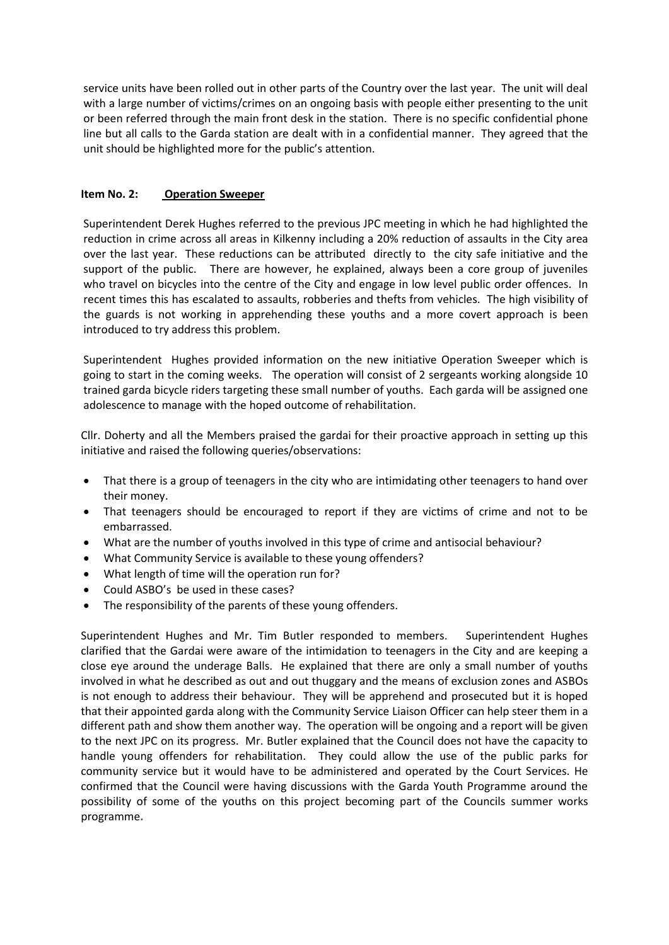service units have been rolled out in other parts of the Country over the last year. The unit will deal with a large number of victims/crimes on an ongoing basis with people either presenting to the unit or been referred through the main front desk in the station. There is no specific confidential phone line but all calls to the Garda station are dealt with in a confidential manner. They agreed that the unit should be highlighted more for the public's attention.

## **Item No. 2: Operation Sweeper**

Superintendent Derek Hughes referred to the previous JPC meeting in which he had highlighted the reduction in crime across all areas in Kilkenny including a 20% reduction of assaults in the City area over the last year. These reductions can be attributed directly to the city safe initiative and the support of the public. There are however, he explained, always been a core group of juveniles who travel on bicycles into the centre of the City and engage in low level public order offences. In recent times this has escalated to assaults, robberies and thefts from vehicles. The high visibility of the guards is not working in apprehending these youths and a more covert approach is been introduced to try address this problem.

Superintendent Hughes provided information on the new initiative Operation Sweeper which is going to start in the coming weeks. The operation will consist of 2 sergeants working alongside 10 trained garda bicycle riders targeting these small number of youths. Each garda will be assigned one adolescence to manage with the hoped outcome of rehabilitation.

Cllr. Doherty and all the Members praised the gardai for their proactive approach in setting up this initiative and raised the following queries/observations:

- That there is a group of teenagers in the city who are intimidating other teenagers to hand over their money.
- That teenagers should be encouraged to report if they are victims of crime and not to be embarrassed.
- What are the number of youths involved in this type of crime and antisocial behaviour?
- What Community Service is available to these young offenders?
- What length of time will the operation run for?
- Could ASBO's be used in these cases?
- The responsibility of the parents of these young offenders.

Superintendent Hughes and Mr. Tim Butler responded to members. Superintendent Hughes clarified that the Gardai were aware of the intimidation to teenagers in the City and are keeping a close eye around the underage Balls. He explained that there are only a small number of youths involved in what he described as out and out thuggary and the means of exclusion zones and ASBOs is not enough to address their behaviour. They will be apprehend and prosecuted but it is hoped that their appointed garda along with the Community Service Liaison Officer can help steer them in a different path and show them another way. The operation will be ongoing and a report will be given to the next JPC on its progress. Mr. Butler explained that the Council does not have the capacity to handle young offenders for rehabilitation. They could allow the use of the public parks for community service but it would have to be administered and operated by the Court Services. He confirmed that the Council were having discussions with the Garda Youth Programme around the possibility of some of the youths on this project becoming part of the Councils summer works programme**.**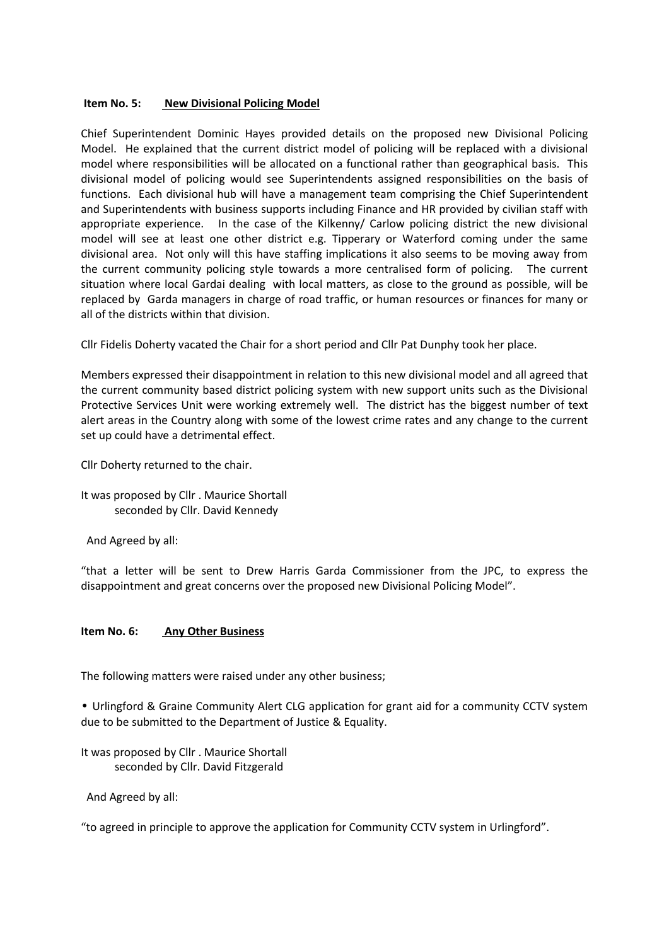## **Item No. 5:** New Divisional Policing Model

Chief Superintendent Dominic Hayes provided details on the proposed new Divisional Policing Model. He explained that the current district model of policing will be replaced with a divisional model where responsibilities will be allocated on a functional rather than geographical basis. This divisional model of policing would see Superintendents assigned responsibilities on the basis of functions. Each divisional hub will have a management team comprising the Chief Superintendent and Superintendents with business supports including Finance and HR provided by civilian staff with appropriate experience. In the case of the Kilkenny/ Carlow policing district the new divisional model will see at least one other district e.g. Tipperary or Waterford coming under the same divisional area. Not only will this have staffing implications it also seems to be moving away from the current community policing style towards a more centralised form of policing. The current situation where local Gardai dealing with local matters, as close to the ground as possible, will be replaced by Garda managers in charge of road traffic, or human resources or finances for many or all of the districts within that division.

Cllr Fidelis Doherty vacated the Chair for a short period and Cllr Pat Dunphy took her place.

Members expressed their disappointment in relation to this new divisional model and all agreed that the current community based district policing system with new support units such as the Divisional Protective Services Unit were working extremely well. The district has the biggest number of text alert areas in the Country along with some of the lowest crime rates and any change to the current set up could have a detrimental effect.

Cllr Doherty returned to the chair.

It was proposed by Cllr . Maurice Shortall seconded by Cllr. David Kennedy

And Agreed by all:

"that a letter will be sent to Drew Harris Garda Commissioner from the JPC, to express the disappointment and great concerns over the proposed new Divisional Policing Model".

## **Item No. 6: Any Other Business**

The following matters were raised under any other business;

• Urlingford & Graine Community Alert CLG application for grant aid for a community CCTV system due to be submitted to the Department of Justice & Equality.

It was proposed by Cllr . Maurice Shortall seconded by Cllr. David Fitzgerald

And Agreed by all:

"to agreed in principle to approve the application for Community CCTV system in Urlingford".